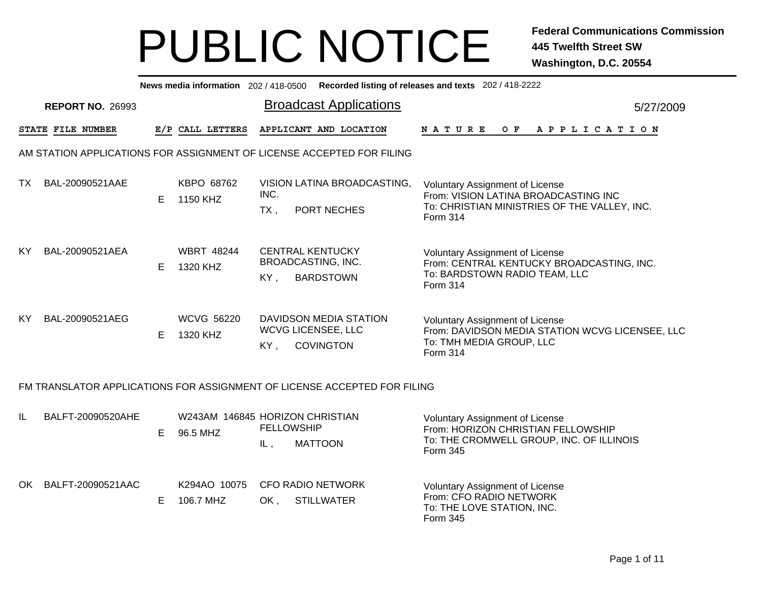|     | News media information 202/418-0500 Recorded listing of releases and texts 202/418-2222 |    |                                             |                |                                                                          |                                                                                                                                            |           |  |  |  |  |  |
|-----|-----------------------------------------------------------------------------------------|----|---------------------------------------------|----------------|--------------------------------------------------------------------------|--------------------------------------------------------------------------------------------------------------------------------------------|-----------|--|--|--|--|--|
|     | <b>REPORT NO. 26993</b>                                                                 |    |                                             |                | <b>Broadcast Applications</b>                                            |                                                                                                                                            | 5/27/2009 |  |  |  |  |  |
|     | STATE FILE NUMBER                                                                       |    | E/P CALL LETTERS                            |                | APPLICANT AND LOCATION                                                   | N A T U R E<br>O F<br>A P P L I C A T I O N                                                                                                |           |  |  |  |  |  |
|     |                                                                                         |    |                                             |                | AM STATION APPLICATIONS FOR ASSIGNMENT OF LICENSE ACCEPTED FOR FILING    |                                                                                                                                            |           |  |  |  |  |  |
| TX. | BAL-20090521AAE                                                                         | E. | KBPO 68762<br>1150 KHZ                      | INC.<br>$TX$ . | VISION LATINA BROADCASTING,<br>PORT NECHES                               | <b>Voluntary Assignment of License</b><br>From: VISION LATINA BROADCASTING INC<br>To: CHRISTIAN MINISTRIES OF THE VALLEY, INC.<br>Form 314 |           |  |  |  |  |  |
| KY. | BAL-20090521AEA                                                                         | E. | <b>WBRT 48244</b><br>1320 KHZ               | KY.            | <b>CENTRAL KENTUCKY</b><br><b>BROADCASTING, INC.</b><br><b>BARDSTOWN</b> | <b>Voluntary Assignment of License</b><br>From: CENTRAL KENTUCKY BROADCASTING, INC.<br>To: BARDSTOWN RADIO TEAM, LLC<br>Form 314           |           |  |  |  |  |  |
| KY. | BAL-20090521AEG                                                                         | E. | <b>WCVG 56220</b><br>1320 KHZ               | $KY$ .         | DAVIDSON MEDIA STATION<br><b>WCVG LICENSEE, LLC</b><br><b>COVINGTON</b>  | <b>Voluntary Assignment of License</b><br>From: DAVIDSON MEDIA STATION WCVG LICENSEE, LLC<br>To: TMH MEDIA GROUP, LLC<br>Form 314          |           |  |  |  |  |  |
|     |                                                                                         |    |                                             |                | FM TRANSLATOR APPLICATIONS FOR ASSIGNMENT OF LICENSE ACCEPTED FOR FILING |                                                                                                                                            |           |  |  |  |  |  |
| IL  | BALFT-20090520AHE                                                                       | Е  | W243AM 146845 HORIZON CHRISTIAN<br>96.5 MHZ | IL,            | <b>FELLOWSHIP</b><br><b>MATTOON</b>                                      | <b>Voluntary Assignment of License</b><br>From: HORIZON CHRISTIAN FELLOWSHIP<br>To: THE CROMWELL GROUP, INC. OF ILLINOIS<br>Form 345       |           |  |  |  |  |  |
| OK  | BALFT-20090521AAC                                                                       | E  | K294AO 10075<br>106.7 MHZ                   | OK,            | <b>CFO RADIO NETWORK</b><br><b>STILLWATER</b>                            | <b>Voluntary Assignment of License</b><br>From: CFO RADIO NETWORK<br>To: THE LOVE STATION, INC.<br>Form 345                                |           |  |  |  |  |  |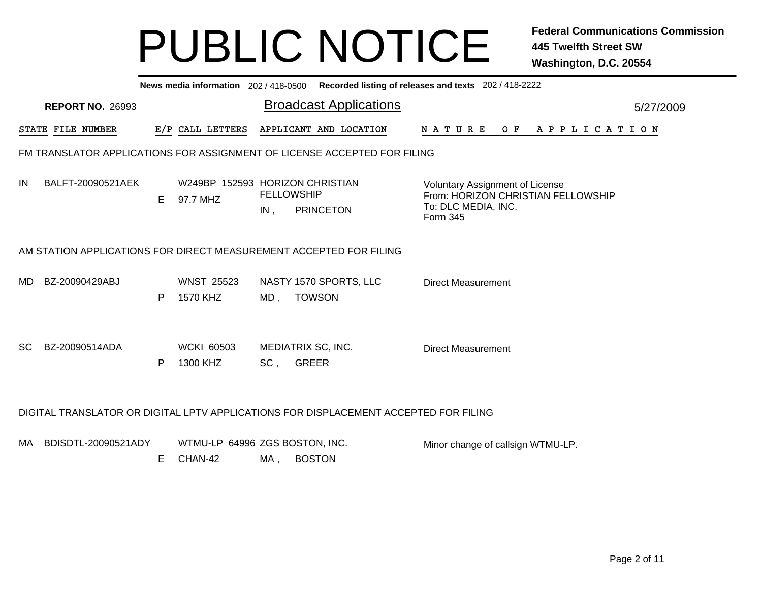|     | News media information 202/418-0500 Recorded listing of releases and texts 202/418-2222 |    |                                             |                          |                                                                                      |                                                                                                                 |           |  |  |  |  |  |
|-----|-----------------------------------------------------------------------------------------|----|---------------------------------------------|--------------------------|--------------------------------------------------------------------------------------|-----------------------------------------------------------------------------------------------------------------|-----------|--|--|--|--|--|
|     | <b>REPORT NO. 26993</b>                                                                 |    |                                             |                          | <b>Broadcast Applications</b>                                                        |                                                                                                                 | 5/27/2009 |  |  |  |  |  |
|     | STATE FILE NUMBER                                                                       |    | E/P CALL LETTERS                            |                          | APPLICANT AND LOCATION                                                               | <b>NATURE</b><br>OF APPLICATION                                                                                 |           |  |  |  |  |  |
|     |                                                                                         |    |                                             |                          | FM TRANSLATOR APPLICATIONS FOR ASSIGNMENT OF LICENSE ACCEPTED FOR FILING             |                                                                                                                 |           |  |  |  |  |  |
| IN  | BALFT-20090521AEK                                                                       | E. | W249BP 152593 HORIZON CHRISTIAN<br>97.7 MHZ | <b>FELLOWSHIP</b><br>IN, | <b>PRINCETON</b>                                                                     | <b>Voluntary Assignment of License</b><br>From: HORIZON CHRISTIAN FELLOWSHIP<br>To: DLC MEDIA, INC.<br>Form 345 |           |  |  |  |  |  |
|     | AM STATION APPLICATIONS FOR DIRECT MEASUREMENT ACCEPTED FOR FILING                      |    |                                             |                          |                                                                                      |                                                                                                                 |           |  |  |  |  |  |
| MD. | BZ-20090429ABJ                                                                          | P  | <b>WNST 25523</b><br>1570 KHZ               | MD,                      | NASTY 1570 SPORTS, LLC<br><b>TOWSON</b>                                              | <b>Direct Measurement</b>                                                                                       |           |  |  |  |  |  |
| SC. | BZ-20090514ADA                                                                          | P  | <b>WCKI 60503</b><br>1300 KHZ               | SC,                      | MEDIATRIX SC, INC.<br><b>GREER</b>                                                   | <b>Direct Measurement</b>                                                                                       |           |  |  |  |  |  |
|     |                                                                                         |    |                                             |                          | DIGITAL TRANSLATOR OR DIGITAL LPTV APPLICATIONS FOR DISPLACEMENT ACCEPTED FOR FILING |                                                                                                                 |           |  |  |  |  |  |
| MA. | BDISDTL-20090521ADY                                                                     | E. | WTMU-LP 64996 ZGS BOSTON, INC.<br>CHAN-42   | MA,                      | <b>BOSTON</b>                                                                        | Minor change of callsign WTMU-LP.                                                                               |           |  |  |  |  |  |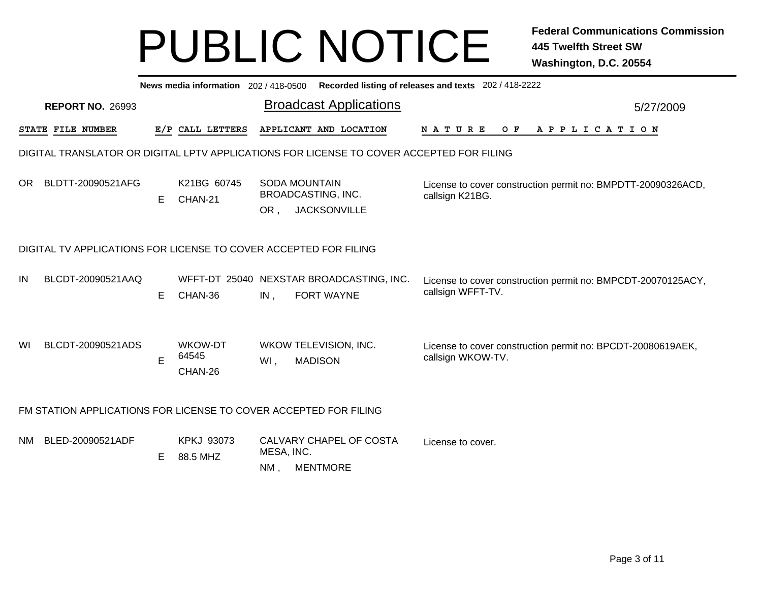|    | Recorded listing of releases and texts 202 / 418-2222<br>News media information 202 / 418-0500 |   |                               |                   |                                                                                          |                                                                                   |  |  |  |  |  |  |  |
|----|------------------------------------------------------------------------------------------------|---|-------------------------------|-------------------|------------------------------------------------------------------------------------------|-----------------------------------------------------------------------------------|--|--|--|--|--|--|--|
|    | <b>REPORT NO. 26993</b>                                                                        |   |                               |                   | <b>Broadcast Applications</b>                                                            | 5/27/2009                                                                         |  |  |  |  |  |  |  |
|    | STATE FILE NUMBER                                                                              |   | E/P CALL LETTERS              |                   | APPLICANT AND LOCATION                                                                   | <b>NATURE</b><br>$O$ $F$<br>A P P L I C A T I O N                                 |  |  |  |  |  |  |  |
|    |                                                                                                |   |                               |                   | DIGITAL TRANSLATOR OR DIGITAL LPTV APPLICATIONS FOR LICENSE TO COVER ACCEPTED FOR FILING |                                                                                   |  |  |  |  |  |  |  |
|    | OR BLDTT-20090521AFG                                                                           | Е | K21BG 60745<br>CHAN-21        | OR,               | <b>SODA MOUNTAIN</b><br>BROADCASTING, INC.<br><b>JACKSONVILLE</b>                        | License to cover construction permit no: BMPDTT-20090326ACD,<br>callsign K21BG.   |  |  |  |  |  |  |  |
|    | DIGITAL TV APPLICATIONS FOR LICENSE TO COVER ACCEPTED FOR FILING                               |   |                               |                   |                                                                                          |                                                                                   |  |  |  |  |  |  |  |
| IN | BLCDT-20090521AAQ                                                                              | Е | CHAN-36                       | IN,               | WFFT-DT 25040 NEXSTAR BROADCASTING, INC.<br><b>FORT WAYNE</b>                            | License to cover construction permit no: BMPCDT-20070125ACY,<br>callsign WFFT-TV. |  |  |  |  |  |  |  |
| WI | BLCDT-20090521ADS                                                                              | E | WKOW-DT<br>64545<br>CHAN-26   | WI,               | WKOW TELEVISION, INC.<br><b>MADISON</b>                                                  | License to cover construction permit no: BPCDT-20080619AEK,<br>callsign WKOW-TV.  |  |  |  |  |  |  |  |
|    | FM STATION APPLICATIONS FOR LICENSE TO COVER ACCEPTED FOR FILING                               |   |                               |                   |                                                                                          |                                                                                   |  |  |  |  |  |  |  |
|    | NM BLED-20090521ADF                                                                            | Е | <b>KPKJ 93073</b><br>88.5 MHZ | MESA, INC.<br>NM, | CALVARY CHAPEL OF COSTA<br><b>MENTMORE</b>                                               | License to cover.                                                                 |  |  |  |  |  |  |  |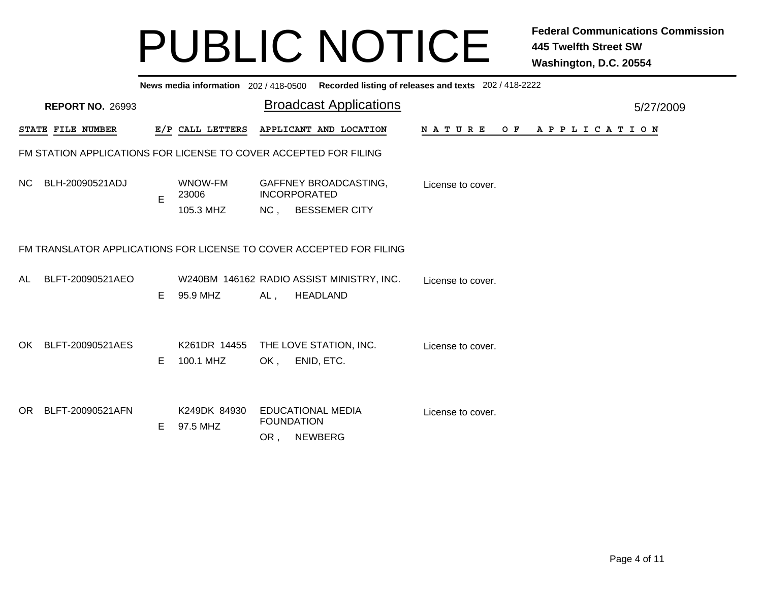|                                                                     | Recorded listing of releases and texts 202 / 418-2222<br>News media information 202/418-0500 |    |                          |     |                                                                 |                   |  |  |  |  |     |  |  |  |                       |  |           |  |
|---------------------------------------------------------------------|----------------------------------------------------------------------------------------------|----|--------------------------|-----|-----------------------------------------------------------------|-------------------|--|--|--|--|-----|--|--|--|-----------------------|--|-----------|--|
|                                                                     | <b>REPORT NO. 26993</b>                                                                      |    |                          |     | <b>Broadcast Applications</b>                                   |                   |  |  |  |  |     |  |  |  |                       |  | 5/27/2009 |  |
|                                                                     | STATE FILE NUMBER                                                                            |    | E/P CALL LETTERS         |     | APPLICANT AND LOCATION                                          | N A T U R E       |  |  |  |  | O F |  |  |  | A P P L I C A T I O N |  |           |  |
|                                                                     | FM STATION APPLICATIONS FOR LICENSE TO COVER ACCEPTED FOR FILING                             |    |                          |     |                                                                 |                   |  |  |  |  |     |  |  |  |                       |  |           |  |
| NC.                                                                 | BLH-20090521ADJ                                                                              | E  | WNOW-FM<br>23006         |     | GAFFNEY BROADCASTING,<br><b>INCORPORATED</b>                    | License to cover. |  |  |  |  |     |  |  |  |                       |  |           |  |
|                                                                     |                                                                                              |    | 105.3 MHZ                |     | NC, BESSEMER CITY                                               |                   |  |  |  |  |     |  |  |  |                       |  |           |  |
| FM TRANSLATOR APPLICATIONS FOR LICENSE TO COVER ACCEPTED FOR FILING |                                                                                              |    |                          |     |                                                                 |                   |  |  |  |  |     |  |  |  |                       |  |           |  |
| AL.                                                                 | BLFT-20090521AEO                                                                             | E. | 95.9 MHZ                 | AL, | W240BM 146162 RADIO ASSIST MINISTRY, INC.<br><b>HEADLAND</b>    | License to cover. |  |  |  |  |     |  |  |  |                       |  |           |  |
|                                                                     |                                                                                              |    |                          |     |                                                                 |                   |  |  |  |  |     |  |  |  |                       |  |           |  |
| OK                                                                  | BLFT-20090521AES                                                                             |    | K261DR 14455             |     | THE LOVE STATION, INC.                                          | License to cover. |  |  |  |  |     |  |  |  |                       |  |           |  |
|                                                                     |                                                                                              | E. | 100.1 MHZ                | OK, | ENID, ETC.                                                      |                   |  |  |  |  |     |  |  |  |                       |  |           |  |
| OR.                                                                 | BLFT-20090521AFN                                                                             | E. | K249DK 84930<br>97.5 MHZ | OR, | <b>EDUCATIONAL MEDIA</b><br><b>FOUNDATION</b><br><b>NEWBERG</b> | License to cover. |  |  |  |  |     |  |  |  |                       |  |           |  |
|                                                                     |                                                                                              |    |                          |     |                                                                 |                   |  |  |  |  |     |  |  |  |                       |  |           |  |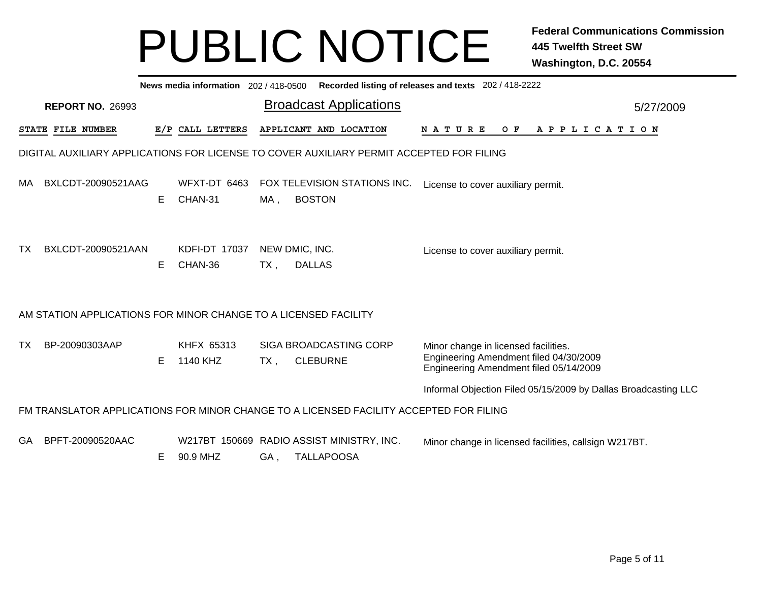|     | Recorded listing of releases and texts 202 / 418-2222<br>News media information 202 / 418-0500 |   |                           |        |                                                                                          |                                                                                                                          |  |  |  |  |  |  |
|-----|------------------------------------------------------------------------------------------------|---|---------------------------|--------|------------------------------------------------------------------------------------------|--------------------------------------------------------------------------------------------------------------------------|--|--|--|--|--|--|
|     | <b>REPORT NO. 26993</b>                                                                        |   |                           |        | <b>Broadcast Applications</b>                                                            | 5/27/2009                                                                                                                |  |  |  |  |  |  |
|     | STATE FILE NUMBER                                                                              |   | E/P CALL LETTERS          |        | APPLICANT AND LOCATION                                                                   | N A T U R E<br>O F<br>A P P L I C A T I O N                                                                              |  |  |  |  |  |  |
|     |                                                                                                |   |                           |        | DIGITAL AUXILIARY APPLICATIONS FOR LICENSE TO COVER AUXILIARY PERMIT ACCEPTED FOR FILING |                                                                                                                          |  |  |  |  |  |  |
| MA. | BXLCDT-20090521AAG                                                                             | Е | WFXT-DT 6463<br>CHAN-31   | MA,    | FOX TELEVISION STATIONS INC.<br><b>BOSTON</b>                                            | License to cover auxiliary permit.                                                                                       |  |  |  |  |  |  |
| TX. | BXLCDT-20090521AAN                                                                             | Е | KDFI-DT 17037<br>CHAN-36  | $TX$ , | NEW DMIC, INC.<br><b>DALLAS</b>                                                          | License to cover auxiliary permit.                                                                                       |  |  |  |  |  |  |
|     | AM STATION APPLICATIONS FOR MINOR CHANGE TO A LICENSED FACILITY                                |   |                           |        |                                                                                          |                                                                                                                          |  |  |  |  |  |  |
| TX  | BP-20090303AAP                                                                                 | E | KHFX 65313<br>1140 KHZ    | TX,    | <b>SIGA BROADCASTING CORP</b><br><b>CLEBURNE</b>                                         | Minor change in licensed facilities.<br>Engineering Amendment filed 04/30/2009<br>Engineering Amendment filed 05/14/2009 |  |  |  |  |  |  |
|     |                                                                                                |   |                           |        |                                                                                          | Informal Objection Filed 05/15/2009 by Dallas Broadcasting LLC                                                           |  |  |  |  |  |  |
|     |                                                                                                |   |                           |        | FM TRANSLATOR APPLICATIONS FOR MINOR CHANGE TO A LICENSED FACILITY ACCEPTED FOR FILING   |                                                                                                                          |  |  |  |  |  |  |
| GA  | BPFT-20090520AAC                                                                               | Е | W217BT 150669<br>90.9 MHZ | GA,    | RADIO ASSIST MINISTRY, INC.<br><b>TALLAPOOSA</b>                                         | Minor change in licensed facilities, callsign W217BT.                                                                    |  |  |  |  |  |  |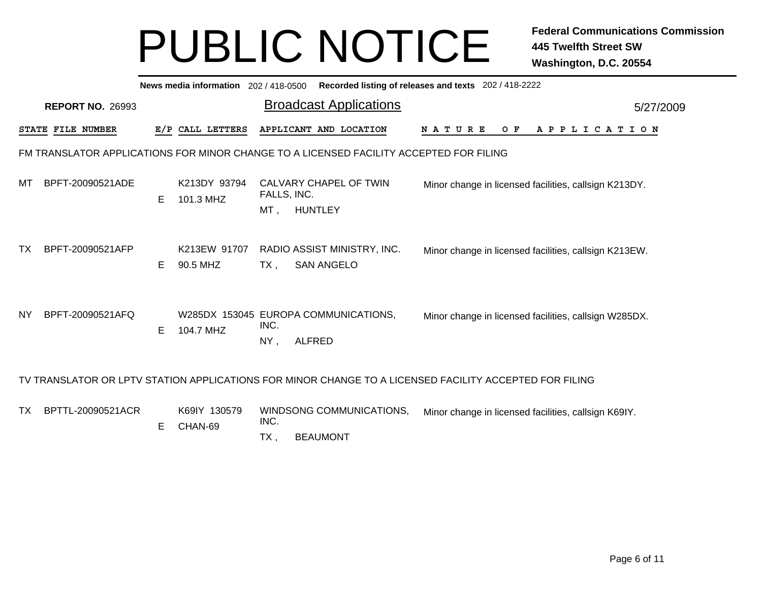|           | Recorded listing of releases and texts 202 / 418-2222<br>News media information 202/418-0500 |    |                           |                                                                                        |                                                                                                        |  |  |  |  |  |  |  |
|-----------|----------------------------------------------------------------------------------------------|----|---------------------------|----------------------------------------------------------------------------------------|--------------------------------------------------------------------------------------------------------|--|--|--|--|--|--|--|
|           | <b>REPORT NO. 26993</b>                                                                      |    |                           | <b>Broadcast Applications</b>                                                          | 5/27/2009                                                                                              |  |  |  |  |  |  |  |
|           | <b>STATE FILE NUMBER</b>                                                                     |    | E/P CALL LETTERS          | APPLICANT AND LOCATION                                                                 | <b>NATURE</b><br>O F<br>A P P L I C A T I O N                                                          |  |  |  |  |  |  |  |
|           |                                                                                              |    |                           | FM TRANSLATOR APPLICATIONS FOR MINOR CHANGE TO A LICENSED FACILITY ACCEPTED FOR FILING |                                                                                                        |  |  |  |  |  |  |  |
| МT        | BPFT-20090521ADE                                                                             | Е  | K213DY 93794<br>101.3 MHZ | CALVARY CHAPEL OF TWIN<br>FALLS, INC.<br>$MT$ ,<br><b>HUNTLEY</b>                      | Minor change in licensed facilities, callsign K213DY.                                                  |  |  |  |  |  |  |  |
| TX        | BPFT-20090521AFP                                                                             | E. | K213EW 91707<br>90.5 MHZ  | RADIO ASSIST MINISTRY, INC.<br><b>SAN ANGELO</b><br>TX,                                | Minor change in licensed facilities, callsign K213EW.                                                  |  |  |  |  |  |  |  |
| <b>NY</b> | BPFT-20090521AFQ                                                                             | Е  | 104.7 MHZ                 | W285DX 153045 EUROPA COMMUNICATIONS,<br>INC.<br>NY,<br><b>ALFRED</b>                   | Minor change in licensed facilities, callsign W285DX.                                                  |  |  |  |  |  |  |  |
|           |                                                                                              |    |                           |                                                                                        | TV TRANSLATOR OR LPTV STATION APPLICATIONS FOR MINOR CHANGE TO A LICENSED FACILITY ACCEPTED FOR FILING |  |  |  |  |  |  |  |
| TX        | BPTTL-20090521ACR                                                                            | Е  | K69IY 130579<br>CHAN-69   | WINDSONG COMMUNICATIONS,<br>INC.                                                       | Minor change in licensed facilities, callsign K69IY.                                                   |  |  |  |  |  |  |  |

 $TX$ , **BEAUMONT**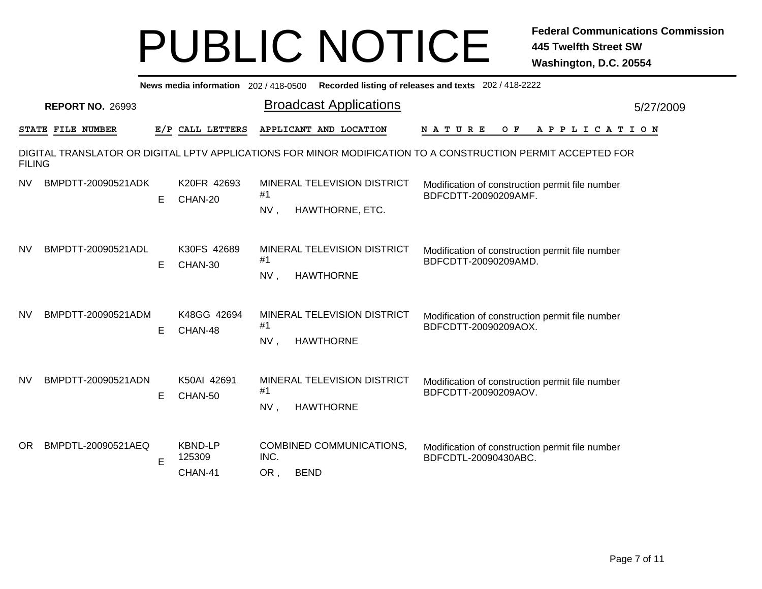|               | Recorded listing of releases and texts 202 / 418-2222<br>News media information 202/418-0500 |    |                                     |             |                                                 |                                                                                                              |           |  |  |  |  |  |
|---------------|----------------------------------------------------------------------------------------------|----|-------------------------------------|-------------|-------------------------------------------------|--------------------------------------------------------------------------------------------------------------|-----------|--|--|--|--|--|
|               | <b>REPORT NO. 26993</b>                                                                      |    |                                     |             | <b>Broadcast Applications</b>                   |                                                                                                              | 5/27/2009 |  |  |  |  |  |
|               | STATE FILE NUMBER                                                                            |    | E/P CALL LETTERS                    |             | APPLICANT AND LOCATION                          | O F<br>A P P L I C A T I O N<br>N A T U R E                                                                  |           |  |  |  |  |  |
| <b>FILING</b> |                                                                                              |    |                                     |             |                                                 | DIGITAL TRANSLATOR OR DIGITAL LPTV APPLICATIONS FOR MINOR MODIFICATION TO A CONSTRUCTION PERMIT ACCEPTED FOR |           |  |  |  |  |  |
| <b>NV</b>     | BMPDTT-20090521ADK                                                                           | E. | K20FR 42693<br>CHAN-20              | #1<br>NV,   | MINERAL TELEVISION DISTRICT<br>HAWTHORNE, ETC.  | Modification of construction permit file number<br>BDFCDTT-20090209AMF.                                      |           |  |  |  |  |  |
| <b>NV</b>     | BMPDTT-20090521ADL                                                                           | E. | K30FS 42689<br>CHAN-30              | #1<br>NV,   | MINERAL TELEVISION DISTRICT<br><b>HAWTHORNE</b> | Modification of construction permit file number<br>BDFCDTT-20090209AMD.                                      |           |  |  |  |  |  |
| <b>NV</b>     | BMPDTT-20090521ADM                                                                           | E. | K48GG 42694<br>CHAN-48              | #1<br>NV,   | MINERAL TELEVISION DISTRICT<br><b>HAWTHORNE</b> | Modification of construction permit file number<br>BDFCDTT-20090209AOX.                                      |           |  |  |  |  |  |
| <b>NV</b>     | BMPDTT-20090521ADN                                                                           | E. | K50AI 42691<br>CHAN-50              | #1<br>NV,   | MINERAL TELEVISION DISTRICT<br><b>HAWTHORNE</b> | Modification of construction permit file number<br>BDFCDTT-20090209AOV.                                      |           |  |  |  |  |  |
| OR.           | BMPDTL-20090521AEQ                                                                           | E  | <b>KBND-LP</b><br>125309<br>CHAN-41 | INC.<br>OR, | COMBINED COMMUNICATIONS,<br><b>BEND</b>         | Modification of construction permit file number<br>BDFCDTL-20090430ABC.                                      |           |  |  |  |  |  |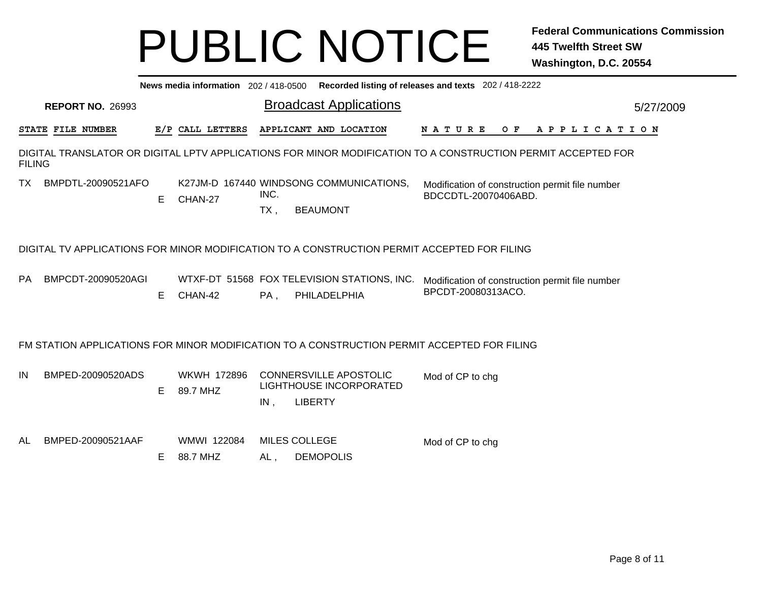|                                                                                             | News media information 202 / 418-0500 Recorded listing of releases and texts 202 / 418-2222 |   |                         |                |                                                                                             |                                                                                                              |  |  |  |  |  |  |
|---------------------------------------------------------------------------------------------|---------------------------------------------------------------------------------------------|---|-------------------------|----------------|---------------------------------------------------------------------------------------------|--------------------------------------------------------------------------------------------------------------|--|--|--|--|--|--|
|                                                                                             | <b>REPORT NO. 26993</b>                                                                     |   |                         |                | <b>Broadcast Applications</b>                                                               | 5/27/2009                                                                                                    |  |  |  |  |  |  |
|                                                                                             | STATE FILE NUMBER                                                                           |   | E/P CALL LETTERS        |                | APPLICANT AND LOCATION                                                                      | <b>NATURE</b><br>OF APPLICATION                                                                              |  |  |  |  |  |  |
| <b>FILING</b>                                                                               |                                                                                             |   |                         |                |                                                                                             | DIGITAL TRANSLATOR OR DIGITAL LPTV APPLICATIONS FOR MINOR MODIFICATION TO A CONSTRUCTION PERMIT ACCEPTED FOR |  |  |  |  |  |  |
| ТX                                                                                          | BMPDTL-20090521AFO                                                                          | Е | CHAN-27                 | INC.<br>$TX$ , | K27JM-D 167440 WINDSONG COMMUNICATIONS,<br><b>BEAUMONT</b>                                  | Modification of construction permit file number<br>BDCCDTL-20070406ABD.                                      |  |  |  |  |  |  |
| DIGITAL TV APPLICATIONS FOR MINOR MODIFICATION TO A CONSTRUCTION PERMIT ACCEPTED FOR FILING |                                                                                             |   |                         |                |                                                                                             |                                                                                                              |  |  |  |  |  |  |
| PA                                                                                          | BMPCDT-20090520AGI                                                                          | Е | CHAN-42                 | $PA$ ,         | WTXF-DT 51568 FOX TELEVISION STATIONS, INC.<br>PHILADELPHIA                                 | Modification of construction permit file number<br>BPCDT-20080313ACO.                                        |  |  |  |  |  |  |
|                                                                                             |                                                                                             |   |                         |                | FM STATION APPLICATIONS FOR MINOR MODIFICATION TO A CONSTRUCTION PERMIT ACCEPTED FOR FILING |                                                                                                              |  |  |  |  |  |  |
| IN                                                                                          | BMPED-20090520ADS                                                                           | Е | WKWH 172896<br>89.7 MHZ | $IN$ ,         | <b>CONNERSVILLE APOSTOLIC</b><br><b>LIGHTHOUSE INCORPORATED</b><br><b>LIBERTY</b>           | Mod of CP to chg                                                                                             |  |  |  |  |  |  |
| AL                                                                                          | BMPED-20090521AAF                                                                           | Е | WMWI 122084<br>88.7 MHZ | AL,            | <b>MILES COLLEGE</b><br><b>DEMOPOLIS</b>                                                    | Mod of CP to chg                                                                                             |  |  |  |  |  |  |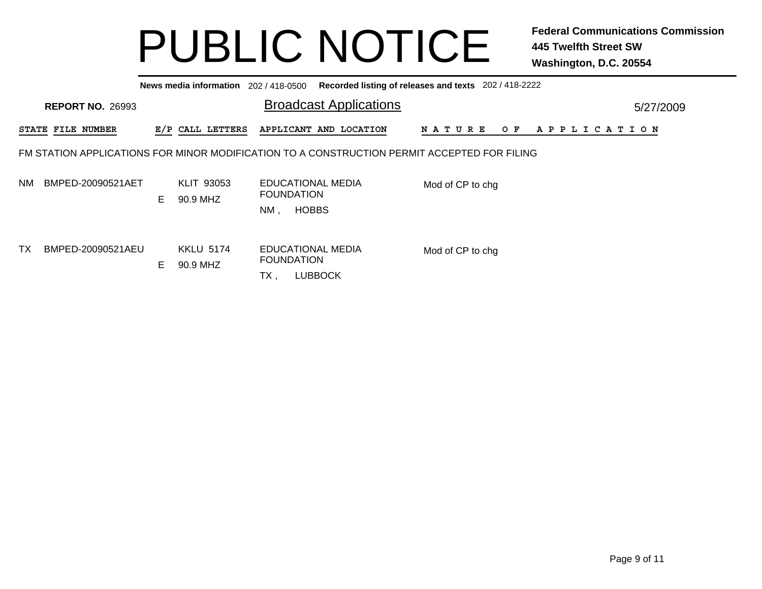|    |                          |    | News media information 202/418-0500 |                                                                                             | Recorded listing of releases and texts 202/418-2222 |           |
|----|--------------------------|----|-------------------------------------|---------------------------------------------------------------------------------------------|-----------------------------------------------------|-----------|
|    | <b>REPORT NO. 26993</b>  |    |                                     | <b>Broadcast Applications</b>                                                               |                                                     | 5/27/2009 |
|    | <b>STATE FILE NUMBER</b> |    | E/P CALL LETTERS                    | APPLICANT AND LOCATION                                                                      | N A T U R E<br>A P P L I C A T I O N<br>O F         |           |
|    |                          |    |                                     | FM STATION APPLICATIONS FOR MINOR MODIFICATION TO A CONSTRUCTION PERMIT ACCEPTED FOR FILING |                                                     |           |
| NM | BMPED-20090521AET        | E. | KLIT 93053<br>90.9 MHZ              | EDUCATIONAL MEDIA<br><b>FOUNDATION</b><br><b>HOBBS</b><br>NM,                               | Mod of CP to chg                                    |           |
| ТX | BMPED-20090521AEU        | E  | <b>KKLU 5174</b><br>90.9 MHZ        | EDUCATIONAL MEDIA<br><b>FOUNDATION</b><br><b>LUBBOCK</b><br>TX,                             | Mod of CP to chg                                    |           |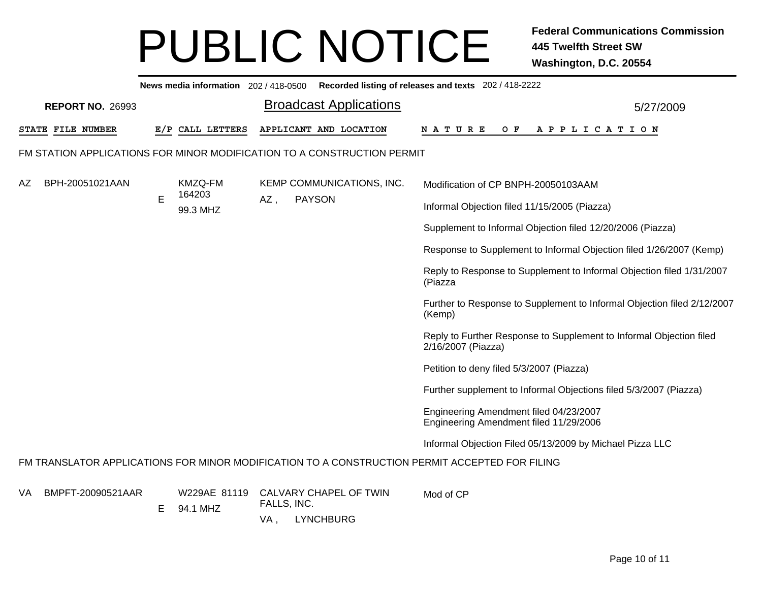|    | News media information 202/418-0500 Recorded listing of releases and texts 202/418-2222 |    |                          |                    |                                                                         |                                                                                                |  |  |  |  |  |  |  |
|----|-----------------------------------------------------------------------------------------|----|--------------------------|--------------------|-------------------------------------------------------------------------|------------------------------------------------------------------------------------------------|--|--|--|--|--|--|--|
|    | <b>REPORT NO. 26993</b>                                                                 |    |                          |                    | <b>Broadcast Applications</b>                                           | 5/27/2009                                                                                      |  |  |  |  |  |  |  |
|    | <b>STATE FILE NUMBER</b>                                                                |    | E/P CALL LETTERS         |                    | APPLICANT AND LOCATION                                                  | N A T U R E<br>O F<br>A P P L I C A T I O N                                                    |  |  |  |  |  |  |  |
|    |                                                                                         |    |                          |                    | FM STATION APPLICATIONS FOR MINOR MODIFICATION TO A CONSTRUCTION PERMIT |                                                                                                |  |  |  |  |  |  |  |
| AΖ | BPH-20051021AAN                                                                         |    | KMZQ-FM<br>164203        |                    | KEMP COMMUNICATIONS, INC.                                               | Modification of CP BNPH-20050103AAM                                                            |  |  |  |  |  |  |  |
|    |                                                                                         | E  | 99.3 MHZ                 | AZ,                | <b>PAYSON</b>                                                           | Informal Objection filed 11/15/2005 (Piazza)                                                   |  |  |  |  |  |  |  |
|    |                                                                                         |    |                          |                    |                                                                         | Supplement to Informal Objection filed 12/20/2006 (Piazza)                                     |  |  |  |  |  |  |  |
|    |                                                                                         |    |                          |                    |                                                                         | Response to Supplement to Informal Objection filed 1/26/2007 (Kemp)                            |  |  |  |  |  |  |  |
|    |                                                                                         |    |                          |                    |                                                                         | Reply to Response to Supplement to Informal Objection filed 1/31/2007<br>(Piazza               |  |  |  |  |  |  |  |
|    |                                                                                         |    |                          |                    |                                                                         | Further to Response to Supplement to Informal Objection filed 2/12/2007<br>(Kemp)              |  |  |  |  |  |  |  |
|    |                                                                                         |    |                          |                    |                                                                         | Reply to Further Response to Supplement to Informal Objection filed<br>2/16/2007 (Piazza)      |  |  |  |  |  |  |  |
|    |                                                                                         |    |                          |                    |                                                                         | Petition to deny filed 5/3/2007 (Piazza)                                                       |  |  |  |  |  |  |  |
|    |                                                                                         |    |                          |                    |                                                                         | Further supplement to Informal Objections filed 5/3/2007 (Piazza)                              |  |  |  |  |  |  |  |
|    |                                                                                         |    |                          |                    |                                                                         | Engineering Amendment filed 04/23/2007<br>Engineering Amendment filed 11/29/2006               |  |  |  |  |  |  |  |
|    |                                                                                         |    |                          |                    |                                                                         | Informal Objection Filed 05/13/2009 by Michael Pizza LLC                                       |  |  |  |  |  |  |  |
|    |                                                                                         |    |                          |                    |                                                                         | FM TRANSLATOR APPLICATIONS FOR MINOR MODIFICATION TO A CONSTRUCTION PERMIT ACCEPTED FOR FILING |  |  |  |  |  |  |  |
| VA | BMPFT-20090521AAR                                                                       | E. | W229AE 81119<br>94.1 MHZ | FALLS, INC.<br>VA, | CALVARY CHAPEL OF TWIN<br><b>LYNCHBURG</b>                              | Mod of CP                                                                                      |  |  |  |  |  |  |  |